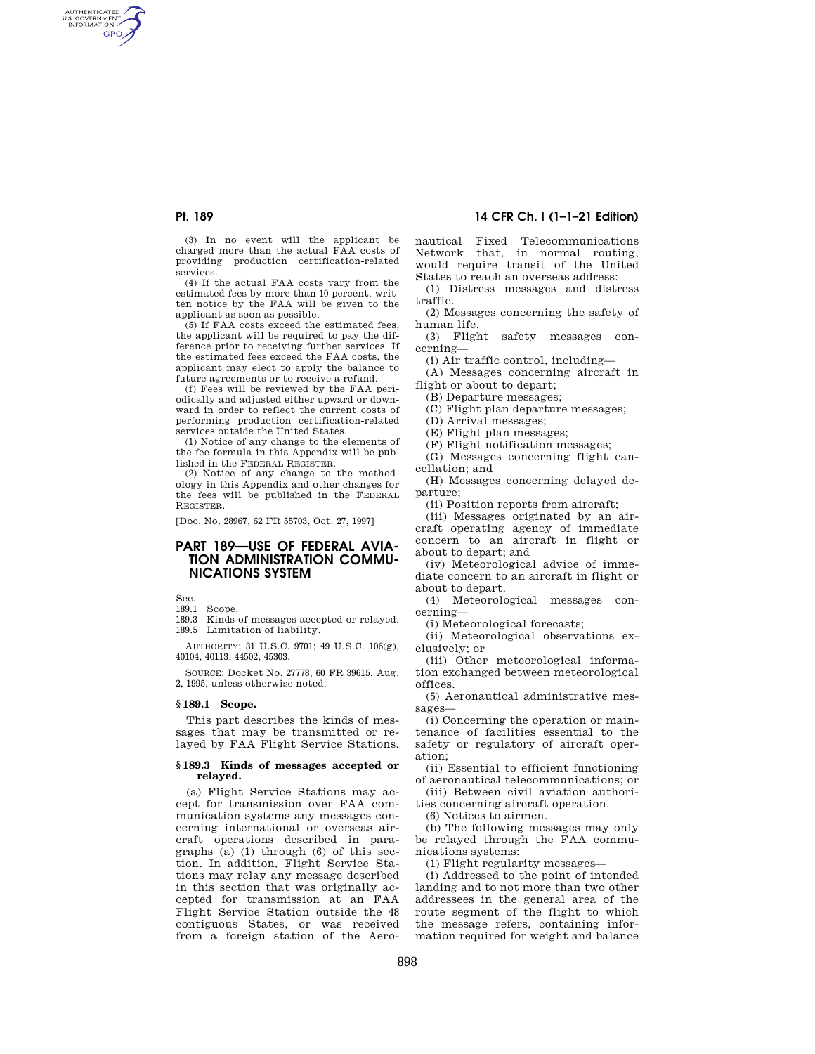AUTHENTICATED<br>U.S. GOVERNMENT<br>INFORMATION **GPO** 

> (3) In no event will the applicant be charged more than the actual FAA costs of providing production certification-related services.

> (4) If the actual FAA costs vary from the estimated fees by more than 10 percent, written notice by the FAA will be given to the applicant as soon as possible.

> (5) If FAA costs exceed the estimated fees, the applicant will be required to pay the difference prior to receiving further services. If the estimated fees exceed the FAA costs, the applicant may elect to apply the balance to future agreements or to receive a refund.

(f) Fees will be reviewed by the FAA periodically and adjusted either upward or downward in order to reflect the current costs of performing production certification-related services outside the United States.

(1) Notice of any change to the elements of the fee formula in this Appendix will be published in the FEDERAL REGISTER.

(2) Notice of any change to the methodology in this Appendix and other changes for the fees will be published in the FEDERAL REGISTER.

[Doc. No. 28967, 62 FR 55703, Oct. 27, 1997]

# **PART 189—USE OF FEDERAL AVIA-TION ADMINISTRATION COMMU-NICATIONS SYSTEM**

Sec.

189.1 Scope.

189.3 Kinds of messages accepted or relayed. 189.5 Limitation of liability.

AUTHORITY: 31 U.S.C. 9701; 49 U.S.C. 106(g), 40104, 40113, 44502, 45303.

SOURCE: Docket No. 27778, 60 FR 39615, Aug. 2, 1995, unless otherwise noted.

### **§ 189.1 Scope.**

This part describes the kinds of messages that may be transmitted or relayed by FAA Flight Service Stations.

#### **§ 189.3 Kinds of messages accepted or relayed.**

(a) Flight Service Stations may accept for transmission over FAA communication systems any messages concerning international or overseas aircraft operations described in paragraphs (a) (1) through (6) of this section. In addition, Flight Service Stations may relay any message described in this section that was originally accepted for transmission at an FAA Flight Service Station outside the 48 contiguous States, or was received from a foreign station of the Aero-

# **Pt. 189 14 CFR Ch. I (1–1–21 Edition)**

nautical Fixed Telecommunications Network that, in normal routing, would require transit of the United States to reach an overseas address:

(1) Distress messages and distress traffic.

(2) Messages concerning the safety of human life.

(3) Flight safety messages concerning—

(i) Air traffic control, including—

(A) Messages concerning aircraft in flight or about to depart;

(B) Departure messages;

(C) Flight plan departure messages;

(D) Arrival messages;

(E) Flight plan messages;

(F) Flight notification messages;

(G) Messages concerning flight cancellation; and

(H) Messages concerning delayed departure;

(ii) Position reports from aircraft;

(iii) Messages originated by an aircraft operating agency of immediate concern to an aircraft in flight or about to depart; and

(iv) Meteorological advice of immediate concern to an aircraft in flight or about to depart.

(4) Meteorological messages concerning—

(i) Meteorological forecasts;

(ii) Meteorological observations exclusively; or

(iii) Other meteorological information exchanged between meteorological offices.

(5) Aeronautical administrative messages—

(i) Concerning the operation or maintenance of facilities essential to the safety or regulatory of aircraft operation;

(ii) Essential to efficient functioning of aeronautical telecommunications; or (iii) Between civil aviation authori-

ties concerning aircraft operation.

(6) Notices to airmen.

(b) The following messages may only be relayed through the FAA communications systems:

(1) Flight regularity messages—

(i) Addressed to the point of intended landing and to not more than two other addressees in the general area of the route segment of the flight to which the message refers, containing information required for weight and balance